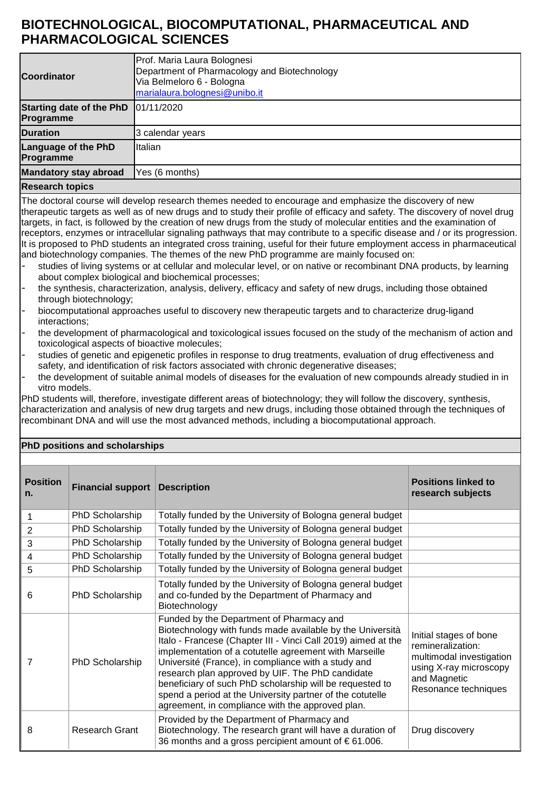## **BIOTECHNOLOGICAL, BIOCOMPUTATIONAL, PHARMACEUTICAL AND PHARMACOLOGICAL SCIENCES**

| <b>Coordinator</b>                           | Prof. Maria Laura Bolognesi<br>Department of Pharmacology and Biotechnology<br>Via Belmeloro 6 - Bologna<br>marialaura.bolognesi@unibo.it |
|----------------------------------------------|-------------------------------------------------------------------------------------------------------------------------------------------|
| <b>Starting date of the PhD</b><br>Programme | 101/11/2020                                                                                                                               |
| <b>Duration</b>                              | 3 calendar years                                                                                                                          |
| <b>Language of the PhD</b><br>Programme      | Italian                                                                                                                                   |
| <b>Mandatory stay abroad</b>                 | Yes (6 months)                                                                                                                            |
| <b>Research topics</b>                       |                                                                                                                                           |

The doctoral course will develop research themes needed to encourage and emphasize the discovery of new therapeutic targets as well as of new drugs and to study their profile of efficacy and safety. The discovery of novel drug targets, in fact, is followed by the creation of new drugs from the study of molecular entities and the examination of receptors, enzymes or intracellular signaling pathways that may contribute to a specific disease and / or its progression. It is proposed to PhD students an integrated cross training, useful for their future employment access in pharmaceutical and biotechnology companies. The themes of the new PhD programme are mainly focused on:

- studies of living systems or at cellular and molecular level, or on native or recombinant DNA products, by learning about complex biological and biochemical processes;
- the synthesis, characterization, analysis, delivery, efficacy and safety of new drugs, including those obtained through biotechnology;
- biocomputational approaches useful to discovery new therapeutic targets and to characterize drug-ligand interactions;
- the development of pharmacological and toxicological issues focused on the study of the mechanism of action and toxicological aspects of bioactive molecules;
- studies of genetic and epigenetic profiles in response to drug treatments, evaluation of drug effectiveness and safety, and identification of risk factors associated with chronic degenerative diseases;
- the development of suitable animal models of diseases for the evaluation of new compounds already studied in in vitro models.

PhD students will, therefore, investigate different areas of biotechnology; they will follow the discovery, synthesis, characterization and analysis of new drug targets and new drugs, including those obtained through the techniques of recombinant DNA and will use the most advanced methods, including a biocomputational approach.

## **PhD positions and scholarships**

| <b>Position</b><br>n. | <b>Financial support</b>                                                      | <b>Description</b>                                                                                                                                                                                                                                                                                                                                                                                                                                                                                                       | <b>Positions linked to</b><br>research subjects                                                                                           |
|-----------------------|-------------------------------------------------------------------------------|--------------------------------------------------------------------------------------------------------------------------------------------------------------------------------------------------------------------------------------------------------------------------------------------------------------------------------------------------------------------------------------------------------------------------------------------------------------------------------------------------------------------------|-------------------------------------------------------------------------------------------------------------------------------------------|
|                       | PhD Scholarship                                                               | Totally funded by the University of Bologna general budget                                                                                                                                                                                                                                                                                                                                                                                                                                                               |                                                                                                                                           |
| 2                     | PhD Scholarship                                                               | Totally funded by the University of Bologna general budget                                                                                                                                                                                                                                                                                                                                                                                                                                                               |                                                                                                                                           |
| 3                     | PhD Scholarship                                                               | Totally funded by the University of Bologna general budget                                                                                                                                                                                                                                                                                                                                                                                                                                                               |                                                                                                                                           |
| 4                     | PhD Scholarship                                                               | Totally funded by the University of Bologna general budget                                                                                                                                                                                                                                                                                                                                                                                                                                                               |                                                                                                                                           |
| 5                     | PhD Scholarship<br>Totally funded by the University of Bologna general budget |                                                                                                                                                                                                                                                                                                                                                                                                                                                                                                                          |                                                                                                                                           |
| 6                     | PhD Scholarship                                                               | Totally funded by the University of Bologna general budget<br>and co-funded by the Department of Pharmacy and<br>Biotechnology                                                                                                                                                                                                                                                                                                                                                                                           |                                                                                                                                           |
| 7                     | PhD Scholarship                                                               | Funded by the Department of Pharmacy and<br>Biotechnology with funds made available by the Università<br>Italo - Francese (Chapter III - Vinci Call 2019) aimed at the<br>implementation of a cotutelle agreement with Marseille<br>Université (France), in compliance with a study and<br>research plan approved by UIF. The PhD candidate<br>beneficiary of such PhD scholarship will be requested to<br>spend a period at the University partner of the cotutelle<br>agreement, in compliance with the approved plan. | Initial stages of bone<br>remineralization:<br>multimodal investigation<br>using X-ray microscopy<br>and Magnetic<br>Resonance techniques |
| 8                     | Research Grant                                                                | Provided by the Department of Pharmacy and<br>Biotechnology. The research grant will have a duration of<br>36 months and a gross percipient amount of $\epsilon$ 61.006.                                                                                                                                                                                                                                                                                                                                                 | Drug discovery                                                                                                                            |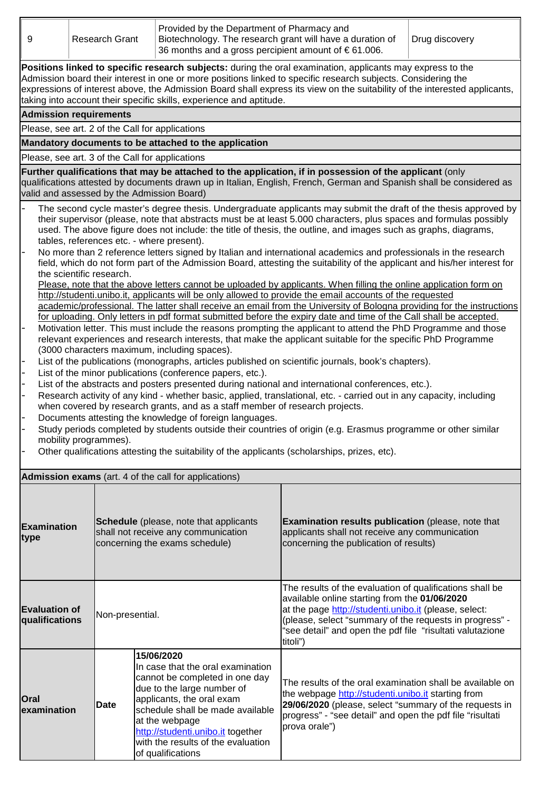| 9                                                                                                                                                                                                                                                                                                                                                                                                                                                                                                                                                                                                                                                                                                                                                                                                                                                                                                                                                                                                                                                                                                                                                                                                                                                                                                                                                                                                                                                                                                                                                                                                                                                                                                                                                                                                                                                                                                                                                                                                                                                                                                                                                                                                                                                                         | <b>Research Grant</b>                                     | Provided by the Department of Pharmacy and<br>Biotechnology. The research grant will have a duration of<br>36 months and a gross percipient amount of $\epsilon$ 61.006.                                                                                                                           |                                                                                                                                                                                                                                                                                                        | Drug discovery |  |  |  |
|---------------------------------------------------------------------------------------------------------------------------------------------------------------------------------------------------------------------------------------------------------------------------------------------------------------------------------------------------------------------------------------------------------------------------------------------------------------------------------------------------------------------------------------------------------------------------------------------------------------------------------------------------------------------------------------------------------------------------------------------------------------------------------------------------------------------------------------------------------------------------------------------------------------------------------------------------------------------------------------------------------------------------------------------------------------------------------------------------------------------------------------------------------------------------------------------------------------------------------------------------------------------------------------------------------------------------------------------------------------------------------------------------------------------------------------------------------------------------------------------------------------------------------------------------------------------------------------------------------------------------------------------------------------------------------------------------------------------------------------------------------------------------------------------------------------------------------------------------------------------------------------------------------------------------------------------------------------------------------------------------------------------------------------------------------------------------------------------------------------------------------------------------------------------------------------------------------------------------------------------------------------------------|-----------------------------------------------------------|----------------------------------------------------------------------------------------------------------------------------------------------------------------------------------------------------------------------------------------------------------------------------------------------------|--------------------------------------------------------------------------------------------------------------------------------------------------------------------------------------------------------------------------------------------------------------------------------------------------------|----------------|--|--|--|
| Positions linked to specific research subjects: during the oral examination, applicants may express to the<br>Admission board their interest in one or more positions linked to specific research subjects. Considering the<br>expressions of interest above, the Admission Board shall express its view on the suitability of the interested applicants,<br>taking into account their specific skills, experience and aptitude.                                                                                                                                                                                                                                                                                                                                                                                                                                                                                                                                                                                                                                                                                                                                                                                                                                                                                                                                                                                                                                                                                                                                                                                                                                                                                                                                                                                                                                                                                                                                                                                                                                                                                                                                                                                                                                          |                                                           |                                                                                                                                                                                                                                                                                                    |                                                                                                                                                                                                                                                                                                        |                |  |  |  |
|                                                                                                                                                                                                                                                                                                                                                                                                                                                                                                                                                                                                                                                                                                                                                                                                                                                                                                                                                                                                                                                                                                                                                                                                                                                                                                                                                                                                                                                                                                                                                                                                                                                                                                                                                                                                                                                                                                                                                                                                                                                                                                                                                                                                                                                                           | <b>Admission requirements</b>                             |                                                                                                                                                                                                                                                                                                    |                                                                                                                                                                                                                                                                                                        |                |  |  |  |
|                                                                                                                                                                                                                                                                                                                                                                                                                                                                                                                                                                                                                                                                                                                                                                                                                                                                                                                                                                                                                                                                                                                                                                                                                                                                                                                                                                                                                                                                                                                                                                                                                                                                                                                                                                                                                                                                                                                                                                                                                                                                                                                                                                                                                                                                           |                                                           | Please, see art. 2 of the Call for applications                                                                                                                                                                                                                                                    |                                                                                                                                                                                                                                                                                                        |                |  |  |  |
|                                                                                                                                                                                                                                                                                                                                                                                                                                                                                                                                                                                                                                                                                                                                                                                                                                                                                                                                                                                                                                                                                                                                                                                                                                                                                                                                                                                                                                                                                                                                                                                                                                                                                                                                                                                                                                                                                                                                                                                                                                                                                                                                                                                                                                                                           |                                                           | Mandatory documents to be attached to the application                                                                                                                                                                                                                                              |                                                                                                                                                                                                                                                                                                        |                |  |  |  |
|                                                                                                                                                                                                                                                                                                                                                                                                                                                                                                                                                                                                                                                                                                                                                                                                                                                                                                                                                                                                                                                                                                                                                                                                                                                                                                                                                                                                                                                                                                                                                                                                                                                                                                                                                                                                                                                                                                                                                                                                                                                                                                                                                                                                                                                                           |                                                           | Please, see art. 3 of the Call for applications                                                                                                                                                                                                                                                    |                                                                                                                                                                                                                                                                                                        |                |  |  |  |
|                                                                                                                                                                                                                                                                                                                                                                                                                                                                                                                                                                                                                                                                                                                                                                                                                                                                                                                                                                                                                                                                                                                                                                                                                                                                                                                                                                                                                                                                                                                                                                                                                                                                                                                                                                                                                                                                                                                                                                                                                                                                                                                                                                                                                                                                           |                                                           | Further qualifications that may be attached to the application, if in possession of the applicant (only<br>qualifications attested by documents drawn up in Italian, English, French, German and Spanish shall be considered as<br>valid and assessed by the Admission Board)                      |                                                                                                                                                                                                                                                                                                        |                |  |  |  |
| The second cycle master's degree thesis. Undergraduate applicants may submit the draft of the thesis approved by<br>their supervisor (please, note that abstracts must be at least 5.000 characters, plus spaces and formulas possibly<br>used. The above figure does not include: the title of thesis, the outline, and images such as graphs, diagrams,<br>tables, references etc. - where present).<br>No more than 2 reference letters signed by Italian and international academics and professionals in the research<br>$\overline{\phantom{0}}$<br>field, which do not form part of the Admission Board, attesting the suitability of the applicant and his/her interest for<br>the scientific research.<br>Please, note that the above letters cannot be uploaded by applicants. When filling the online application form on<br>http://studenti.unibo.it, applicants will be only allowed to provide the email accounts of the requested<br>academic/professional. The latter shall receive an email from the University of Bologna providing for the instructions<br>for uploading. Only letters in pdf format submitted before the expiry date and time of the Call shall be accepted.<br>Motivation letter. This must include the reasons prompting the applicant to attend the PhD Programme and those<br>relevant experiences and research interests, that make the applicant suitable for the specific PhD Programme<br>(3000 characters maximum, including spaces).<br>List of the publications (monographs, articles published on scientific journals, book's chapters).<br>List of the minor publications (conference papers, etc.).<br>List of the abstracts and posters presented during national and international conferences, etc.).<br>Research activity of any kind - whether basic, applied, translational, etc. - carried out in any capacity, including<br>when covered by research grants, and as a staff member of research projects.<br>Documents attesting the knowledge of foreign languages.<br>Study periods completed by students outside their countries of origin (e.g. Erasmus programme or other similar<br>mobility programmes).<br>Other qualifications attesting the suitability of the applicants (scholarships, prizes, etc). |                                                           |                                                                                                                                                                                                                                                                                                    |                                                                                                                                                                                                                                                                                                        |                |  |  |  |
|                                                                                                                                                                                                                                                                                                                                                                                                                                                                                                                                                                                                                                                                                                                                                                                                                                                                                                                                                                                                                                                                                                                                                                                                                                                                                                                                                                                                                                                                                                                                                                                                                                                                                                                                                                                                                                                                                                                                                                                                                                                                                                                                                                                                                                                                           |                                                           | <b>Admission exams</b> (art. 4 of the call for applications)                                                                                                                                                                                                                                       |                                                                                                                                                                                                                                                                                                        |                |  |  |  |
| <b>Examination</b><br>type                                                                                                                                                                                                                                                                                                                                                                                                                                                                                                                                                                                                                                                                                                                                                                                                                                                                                                                                                                                                                                                                                                                                                                                                                                                                                                                                                                                                                                                                                                                                                                                                                                                                                                                                                                                                                                                                                                                                                                                                                                                                                                                                                                                                                                                |                                                           | Schedule (please, note that applicants<br>shall not receive any communication<br>concerning the exams schedule)                                                                                                                                                                                    | Examination results publication (please, note that<br>applicants shall not receive any communication<br>concerning the publication of results)                                                                                                                                                         |                |  |  |  |
|                                                                                                                                                                                                                                                                                                                                                                                                                                                                                                                                                                                                                                                                                                                                                                                                                                                                                                                                                                                                                                                                                                                                                                                                                                                                                                                                                                                                                                                                                                                                                                                                                                                                                                                                                                                                                                                                                                                                                                                                                                                                                                                                                                                                                                                                           | <b>Evaluation of</b><br>Non-presential.<br>qualifications |                                                                                                                                                                                                                                                                                                    | The results of the evaluation of qualifications shall be<br>available online starting from the 01/06/2020<br>at the page http://studenti.unibo.it (please, select:<br>(please, select "summary of the requests in progress" -<br>"see detail" and open the pdf file "risultati valutazione<br>titoli") |                |  |  |  |
| <b>Oral</b><br><b>lexamination</b>                                                                                                                                                                                                                                                                                                                                                                                                                                                                                                                                                                                                                                                                                                                                                                                                                                                                                                                                                                                                                                                                                                                                                                                                                                                                                                                                                                                                                                                                                                                                                                                                                                                                                                                                                                                                                                                                                                                                                                                                                                                                                                                                                                                                                                        | <b>Date</b>                                               | 15/06/2020<br>In case that the oral examination<br>cannot be completed in one day<br>due to the large number of<br>applicants, the oral exam<br>schedule shall be made available<br>at the webpage<br>http://studenti.unibo.it together<br>with the results of the evaluation<br>of qualifications | The results of the oral examination shall be available on<br>the webpage http://studenti.unibo.it starting from<br>29/06/2020 (please, select "summary of the requests in<br>progress" - "see detail" and open the pdf file "risultati<br>prova orale")                                                |                |  |  |  |